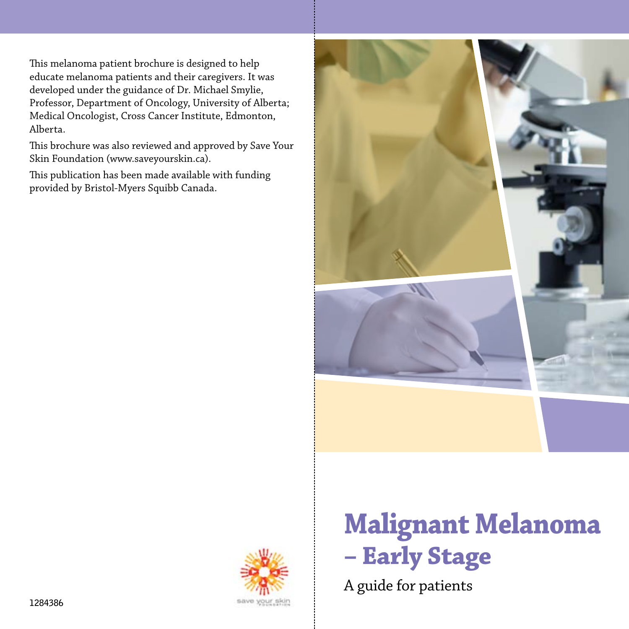This melanoma patient brochure is designed to help educate melanoma patients and their caregivers. It was developed under the guidance of Dr. Michael Smylie, Professor, Department of Oncology, University of Alberta; Medical Oncologist, Cross Cancer Institute, Edmonton, Alberta.

This brochure was also reviewed and approved by Save Your Skin Foundation (www.saveyourskin.ca).

This publication has been made available with funding provided by Bristol-Myers Squibb Canada.





# **Malignant Melanoma – Early Stage**

A guide for patients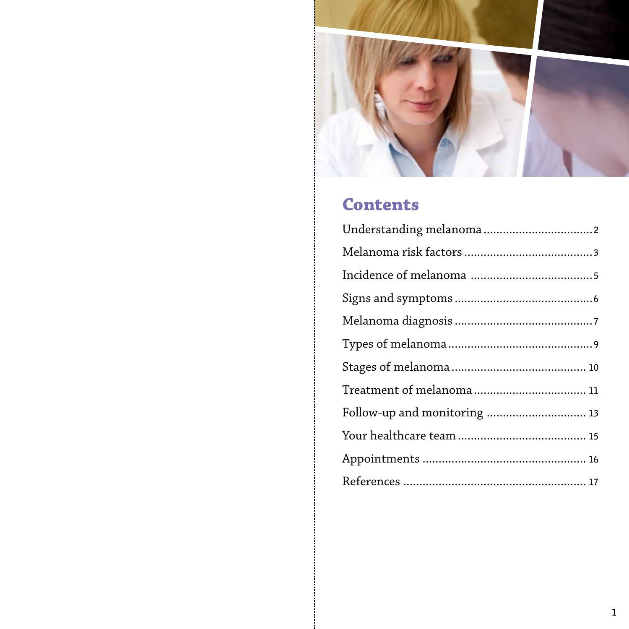

# **Contents**

| Follow-up and monitoring  13 |
|------------------------------|
|                              |
|                              |
|                              |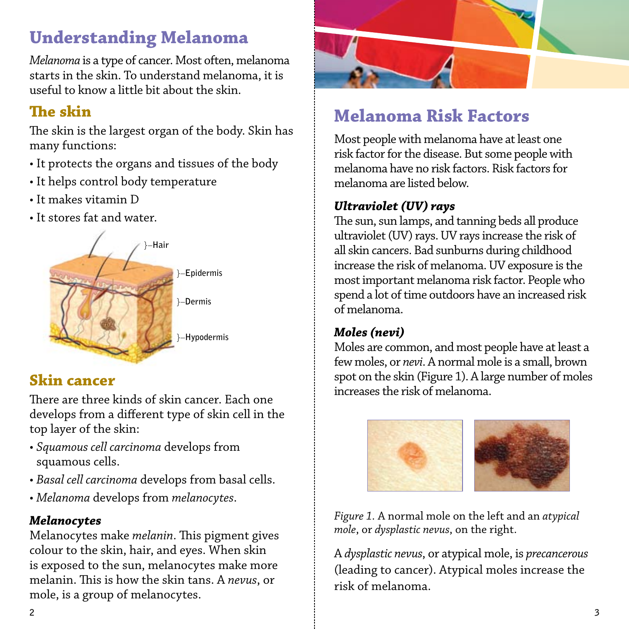# **Understanding Melanoma**

*Melanoma* is a type of cancer. Most often, melanoma starts in the skin. To understand melanoma, it is useful to know a little bit about the skin.

### **The skin**

The skin is the largest organ of the body. Skin has many functions:

- It protects the organs and tissues of the body
- It helps control body temperature
- It makes vitamin D
- It stores fat and water.



### **Skin cancer**

There are three kinds of skin cancer. Each one develops from a different type of skin cell in the top layer of the skin:

- *Squamous cell carcinoma* develops from squamous cells.
- *Basal cell carcinoma* develops from basal cells.
- *Melanoma* develops from *melanocytes*.

### *Melanocytes*

Melanocytes make *melanin*. This pigment gives colour to the skin, hair, and eyes. When skin is exposed to the sun, melanocytes make more melanin. This is how the skin tans. A *nevus*, or mole, is a group of melanocytes.



# **Melanoma Risk Factors**

Most people with melanoma have at least one risk factor for the disease. But some people with melanoma have no risk factors. Risk factors for melanoma are listed below.

### *Ultraviolet (UV) rays*

The sun, sun lamps, and tanning beds all produce ultraviolet (UV) rays. UV rays increase the risk of all skin cancers. Bad sunburns during childhood increase the risk of melanoma. UV exposure is the most important melanoma risk factor. People who spend a lot of time outdoors have an increased risk of melanoma.

### *Moles (nevi)*

Moles are common, and most people have at least a few moles, or *nevi*. A normal mole is a small, brown spot on the skin (Figure 1). A large number of moles increases the risk of melanoma.



*Figure 1.* A normal mole on the left and an *atypical mole*, or *dysplastic nevus*, on the right.

A *dysplastic nevus*, or atypical mole, is *precancerous* (leading to cancer). Atypical moles increase the risk of melanoma.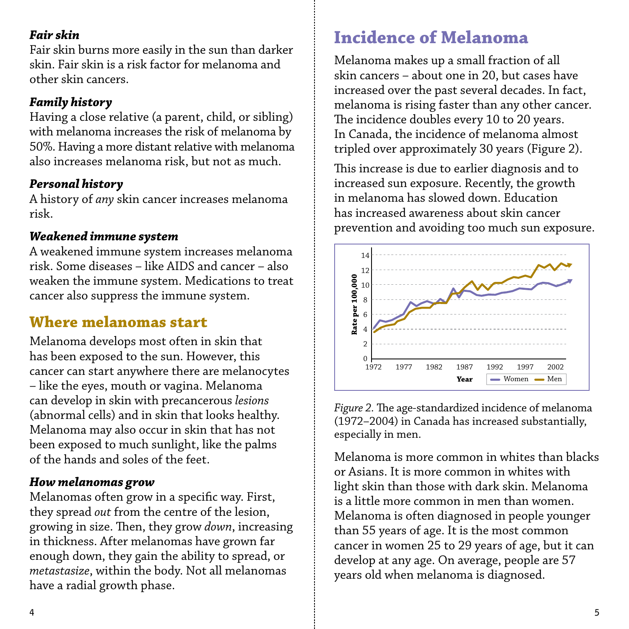#### *Fair skin*

Fair skin burns more easily in the sun than darker skin. Fair skin is a risk factor for melanoma and other skin cancers.

#### *Family history*

Having a close relative (a parent, child, or sibling) with melanoma increases the risk of melanoma by 50%. Having a more distant relative with melanoma also increases melanoma risk, but not as much.

#### *Personal history*

A history of *any* skin cancer increases melanoma risk.

#### *Weakened immune system*

A weakened immune system increases melanoma risk. Some diseases – like AIDS and cancer – also weaken the immune system. Medications to treat cancer also suppress the immune system.

### **Where melanomas start**

Melanoma develops most often in skin that has been exposed to the sun. However, this cancer can start anywhere there are melanocytes – like the eyes, mouth or vagina. Melanoma can develop in skin with precancerous *lesions* (abnormal cells) and in skin that looks healthy. Melanoma may also occur in skin that has not been exposed to much sunlight, like the palms of the hands and soles of the feet.

#### *How melanomas grow*

Melanomas often grow in a specific way. First, they spread *out* from the centre of the lesion, growing in size. Then, they grow *down*, increasing in thickness. After melanomas have grown far enough down, they gain the ability to spread, or *metastasize*, within the body. Not all melanomas have a radial growth phase.

# **Incidence of Melanoma**

Melanoma makes up a small fraction of all skin cancers – about one in 20, but cases have increased over the past several decades. In fact, melanoma is rising faster than any other cancer. The incidence doubles every 10 to 20 years. In Canada, the incidence of melanoma almost tripled over approximately 30 years (Figure 2).

This increase is due to earlier diagnosis and to increased sun exposure. Recently, the growth in melanoma has slowed down. Education has increased awareness about skin cancer prevention and avoiding too much sun exposure.



*Figure 2.* The age-standardized incidence of melanoma (1972–2004) in Canada has increased substantially, especially in men.

Melanoma is more common in whites than blacks or Asians. It is more common in whites with light skin than those with dark skin. Melanoma is a little more common in men than women. Melanoma is often diagnosed in people younger than 55 years of age. It is the most common cancer in women 25 to 29 years of age, but it can develop at any age. On average, people are 57 early and the melanoma is diagnosed.<br>
Figure 2. The age-standardized incidence of r<br>
Figure 2. The age-standardized incidence of r<br>
(1972–2004) in Canada has increased subst<br>
especially in men.<br>
Melanoma is more common in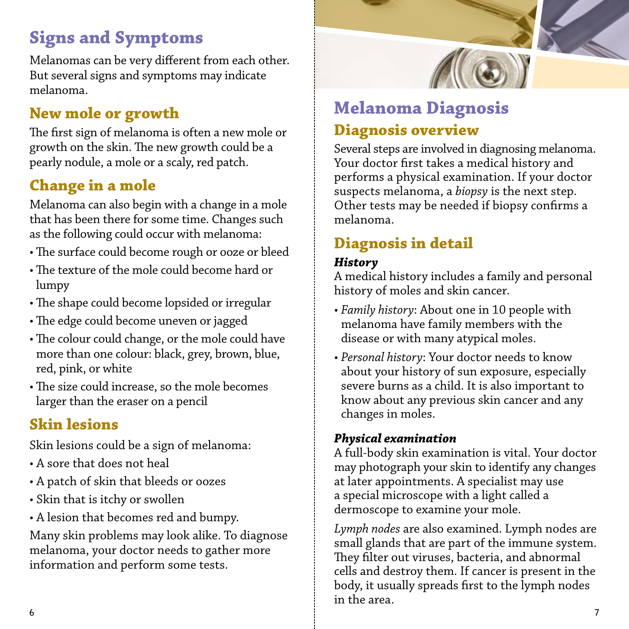# **Signs and Symptoms**

Melanomas can be very different from each other. But several signs and symptoms may indicate melanoma.

# **New mole or growth**

The first sign of melanoma is often a new mole or growth on the skin. The new growth could be a pearly nodule, a mole or a scaly, red patch.

# **Change in a mole**

Melanoma can also begin with a change in a mole that has been there for some time. Changes such as the following could occur with melanoma:

- The surface could become rough or ooze or bleed
- The texture of the mole could become hard or lumpy
- The shape could become lopsided or irregular
- The edge could become uneven or jagged
- The colour could change, or the mole could have more than one colour: black, grey, brown, blue, red, pink, or white
- The size could increase, so the mole becomes larger than the eraser on a pencil

# **Skin lesions**

Skin lesions could be a sign of melanoma:

- A sore that does not heal
- A patch of skin that bleeds or oozes
- Skin that is itchy or swollen
- A lesion that becomes red and bumpy.

Many skin problems may look alike. To diagnose melanoma, your doctor needs to gather more information and perform some tests.



# **Melanoma Diagnosis Diagnosis overview**

Several steps are involved in diagnosing melanoma. Your doctor first takes a medical history and performs a physical examination. If your doctor suspects melanoma, a *biopsy* is the next step. Other tests may be needed if biopsy confirms a melanoma.

# **Diagnosis in detail**

### *History*

A medical history includes a family and personal history of moles and skin cancer.

- *Family history*: About one in 10 people with melanoma have family members with the disease or with many atypical moles.
- *Personal history*: Your doctor needs to know about your history of sun exposure, especially severe burns as a child. It is also important to know about any previous skin cancer and any changes in moles.

#### *Physical examination*

A full-body skin examination is vital. Your doctor may photograph your skin to identify any changes at later appointments. A specialist may use a special microscope with a light called a dermoscope to examine your mole.

*Lymph nodes* are also examined. Lymph nodes are small glands that are part of the immune system. They filter out viruses, bacteria, and abnormal cells and destroy them. If cancer is present in the body, it usually spreads first to the lymph nodes in the area.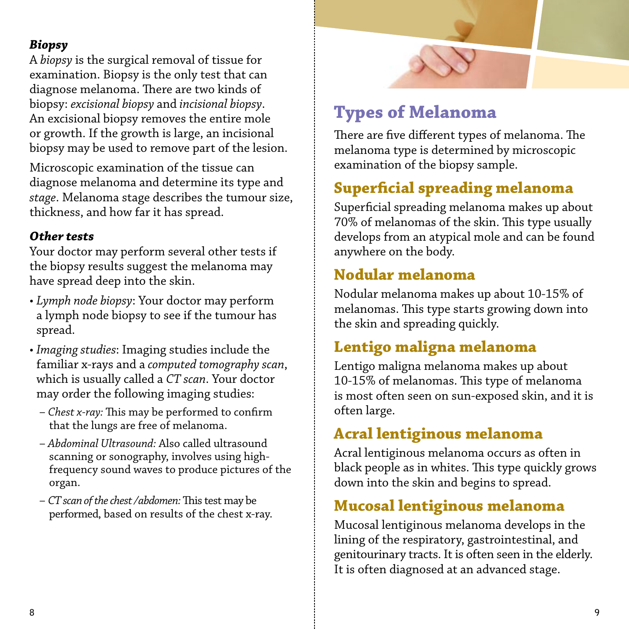#### *Biopsy*

A *biopsy* is the surgical removal of tissue for examination. Biopsy is the only test that can diagnose melanoma. There are two kinds of biopsy: *excisional biopsy* and *incisional biopsy*. An excisional biopsy removes the entire mole or growth. If the growth is large, an incisional biopsy may be used to remove part of the lesion.

Microscopic examination of the tissue can diagnose melanoma and determine its type and *stage*. Melanoma stage describes the tumour size, thickness, and how far it has spread.

#### *Other tests*

Your doctor may perform several other tests if the biopsy results suggest the melanoma may have spread deep into the skin.

- *Lymph node biopsy*: Your doctor may perform a lymph node biopsy to see if the tumour has spread.
- *Imaging studies*: Imaging studies include the familiar x-rays and a *computed tomography scan*, which is usually called a *CT scan*. Your doctor may order the following imaging studies:
	- *Chest x-ray:* This may be performed to confirm that the lungs are free of melanoma.
	- *Abdominal Ultrasound:* Also called ultrasound scanning or sonography, involves using highfrequency sound waves to produce pictures of the organ.
	- *CT scan of the chest /abdomen:* This test may be performed, based on results of the chest x-ray.



# **Types of Melanoma**

There are five different types of melanoma. The melanoma type is determined by microscopic examination of the biopsy sample.

### **Superficial spreading melanoma**

Superficial spreading melanoma makes up about 70% of melanomas of the skin. This type usually develops from an atypical mole and can be found anywhere on the body.

### **Nodular melanoma**

Nodular melanoma makes up about 10-15% of melanomas. This type starts growing down into the skin and spreading quickly.

### **Lentigo maligna melanoma**

Lentigo maligna melanoma makes up about 10-15% of melanomas. This type of melanoma is most often seen on sun-exposed skin, and it is often large.

### **Acral lentiginous melanoma**

Acral lentiginous melanoma occurs as often in black people as in whites. This type quickly grows down into the skin and begins to spread.

### **Mucosal lentiginous melanoma**

Mucosal lentiginous melanoma develops in the lining of the respiratory, gastrointestinal, and genitourinary tracts. It is often seen in the elderly. It is often diagnosed at an advanced stage.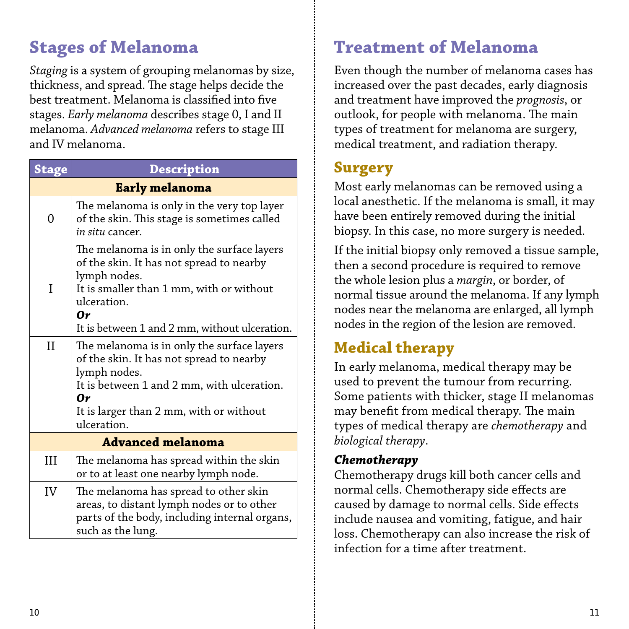# **Stages of Melanoma**

*Staging* is a system of grouping melanomas by size, thickness, and spread. The stage helps decide the best treatment. Melanoma is classified into five stages. *Early melanoma* describes stage 0, I and II melanoma. *Advanced melanoma* refers to stage III and IV melanoma.

| <b>Stage</b>             | <b>Description</b>                                                                                                                                                                                                       |  |  |  |
|--------------------------|--------------------------------------------------------------------------------------------------------------------------------------------------------------------------------------------------------------------------|--|--|--|
| Early melanoma           |                                                                                                                                                                                                                          |  |  |  |
| 0                        | The melanoma is only in the very top layer<br>of the skin. This stage is sometimes called<br><i>in situ</i> cancer.                                                                                                      |  |  |  |
| I                        | The melanoma is in only the surface layers<br>of the skin. It has not spread to nearby<br>lymph nodes.<br>It is smaller than 1 mm, with or without<br>ulceration.<br>0r<br>It is between 1 and 2 mm, without ulceration. |  |  |  |
| $_{\rm II}$              | The melanoma is in only the surface layers<br>of the skin. It has not spread to nearby<br>lymph nodes.<br>It is between 1 and 2 mm, with ulceration.<br>0r<br>It is larger than 2 mm, with or without<br>ulceration.     |  |  |  |
| <b>Advanced melanoma</b> |                                                                                                                                                                                                                          |  |  |  |
| III                      | The melanoma has spread within the skin<br>or to at least one nearby lymph node.                                                                                                                                         |  |  |  |
| IV                       | The melanoma has spread to other skin<br>areas, to distant lymph nodes or to other<br>parts of the body, including internal organs,<br>such as the lung.                                                                 |  |  |  |

# **Treatment of Melanoma**

Even though the number of melanoma cases has increased over the past decades, early diagnosis and treatment have improved the *prognosis*, or outlook, for people with melanoma. The main types of treatment for melanoma are surgery, medical treatment, and radiation therapy.

### **Surgery**

Most early melanomas can be removed using a local anesthetic. If the melanoma is small, it may have been entirely removed during the initial biopsy. In this case, no more surgery is needed.

If the initial biopsy only removed a tissue sample, then a second procedure is required to remove the whole lesion plus a *margin*, or border, of normal tissue around the melanoma. If any lymph nodes near the melanoma are enlarged, all lymph nodes in the region of the lesion are removed.

# **Medical therapy**

In early melanoma, medical therapy may be used to prevent the tumour from recurring. Some patients with thicker, stage II melanomas may benefit from medical therapy. The main types of medical therapy are *chemotherapy* and *biological therapy*.

#### *Chemotherapy*

Chemotherapy drugs kill both cancer cells and normal cells. Chemotherapy side effects are caused by damage to normal cells. Side effects include nausea and vomiting, fatigue, and hair loss. Chemotherapy can also increase the risk of infection for a time after treatment.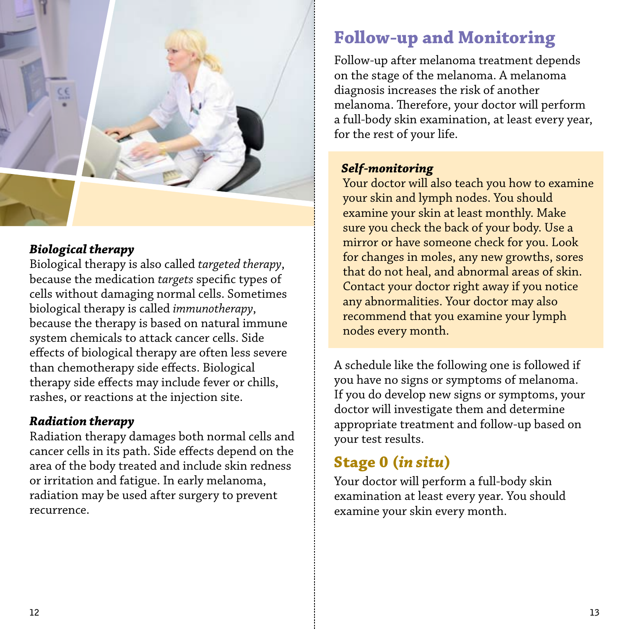

#### *Biological therapy*

Biological therapy is also called *targeted therapy*, because the medication *targets* specific types of cells without damaging normal cells. Sometimes biological therapy is called *immunotherapy*, because the therapy is based on natural immune system chemicals to attack cancer cells. Side effects of biological therapy are often less severe than chemotherapy side effects. Biological therapy side effects may include fever or chills, rashes, or reactions at the injection site.

#### *Radiation therapy*

Radiation therapy damages both normal cells and cancer cells in its path. Side effects depend on the area of the body treated and include skin redness or irritation and fatigue. In early melanoma, radiation may be used after surgery to prevent recurrence.

# **Follow-up and Monitoring**

Follow-up after melanoma treatment depends on the stage of the melanoma. A melanoma diagnosis increases the risk of another melanoma. Therefore, your doctor will perform a full-body skin examination, at least every year, for the rest of your life.

#### *Self-monitoring*

 Your doctor will also teach you how to examine your skin and lymph nodes. You should examine your skin at least monthly. Make sure you check the back of your body. Use a mirror or have someone check for you. Look for changes in moles, any new growths, sores that do not heal, and abnormal areas of skin. Contact your doctor right away if you notice any abnormalities. Your doctor may also recommend that you examine your lymph nodes every month.

A schedule like the following one is followed if you have no signs or symptoms of melanoma. If you do develop new signs or symptoms, your doctor will investigate them and determine appropriate treatment and follow-up based on your test results.

# **Stage 0 (***in situ***)**

Your doctor will perform a full-body skin examination at least every year. You should examine your skin every month.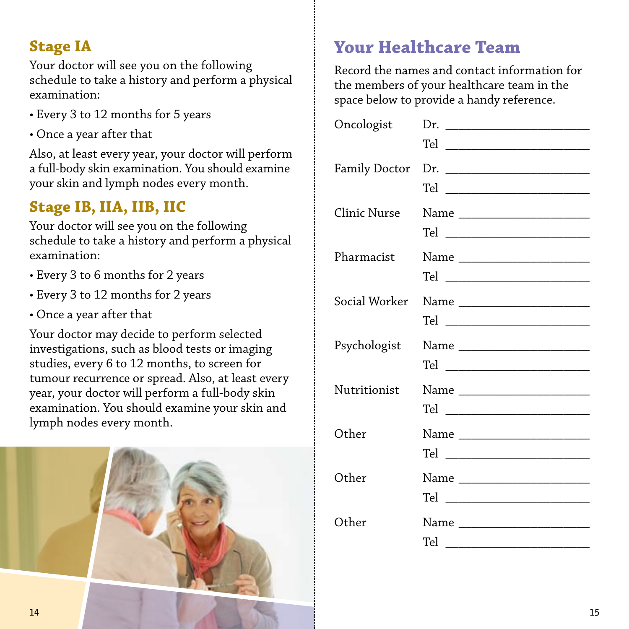### **Stage IA**

Your doctor will see you on the following schedule to take a history and perform a physical examination:

- Every 3 to 12 months for 5 years
- Once a year after that

Also, at least every year, your doctor will perform a full-body skin examination. You should examine your skin and lymph nodes every month.

# **Stage IB, IIA, IIB, IIC**

Your doctor will see you on the following schedule to take a history and perform a physical examination:

- Every 3 to 6 months for 2 years
- Every 3 to 12 months for 2 years
- Once a year after that

Your doctor may decide to perform selected investigations, such as blood tests or imaging studies, every 6 to 12 months, to screen for tumour recurrence or spread. Also, at least every year, your doctor will perform a full-body skin examination. You should examine your skin and lymph nodes every month.



# **Your Healthcare Team**

Record the names and contact information for the members of your healthcare team in the space below to provide a handy reference.

| Oncologist   | Dr.                                     |
|--------------|-----------------------------------------|
|              |                                         |
| Clinic Nurse | Name _________________________          |
| Pharmacist   |                                         |
|              | Social Worker Name ____________________ |
| Psychologist | Name _________________________          |
| Nutritionist |                                         |
| Other        |                                         |
| Other        | Name _________________________          |
| Other        |                                         |